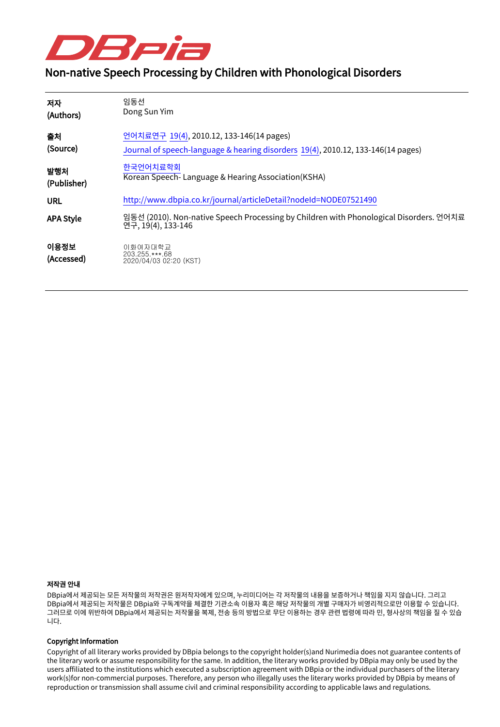

# Non-native Speech Processing by Children with Phonological Disorders

| 저자                 | 임동선                                                                                                          |
|--------------------|--------------------------------------------------------------------------------------------------------------|
| (Authors)          | Dong Sun Yim                                                                                                 |
| 출처                 | 언어치료연구 19(4), 2010.12, 133-146(14 pages)                                                                     |
| (Source)           | Journal of speech-language & hearing disorders 19(4), 2010.12, 133-146(14 pages)                             |
| 발행처                | 한국언어치료학회                                                                                                     |
| (Publisher)        | Korean Speech-Language & Hearing Association (KSHA)                                                          |
| URL                | http://www.dbpia.co.kr/journal/articleDetail?nodeId=NODE07521490                                             |
| <b>APA Style</b>   | 임동선 (2010). Non-native Speech Processing by Children with Phonological Disorders. 언어치료<br>연구, 19(4), 133-146 |
| 이용정보<br>(Accessed) | 이화여자대학교<br>203.255.***.68<br>2020/04/03 02:20 (KST)                                                          |

#### 저작권 안내

DBpia에서 제공되는 모든 저작물의 저작권은 원저작자에게 있으며, 누리미디어는 각 저작물의 내용을 보증하거나 책임을 지지 않습니다. 그리고 DBpia에서 제공되는 저작물은 DBpia와 구독계약을 체결한 기관소속 이용자 혹은 해당 저작물의 개별 구매자가 비영리적으로만 이용할 수 있습니다. 그러므로 이에 위반하여 DBpia에서 제공되는 저작물을 복제, 전송 등의 방법으로 무단 이용하는 경우 관련 법령에 따라 민, 형사상의 책임을 질 수 있습 니다.

#### Copyright Information

Copyright of all literary works provided by DBpia belongs to the copyright holder(s)and Nurimedia does not guarantee contents of the literary work or assume responsibility for the same. In addition, the literary works provided by DBpia may only be used by the users affiliated to the institutions which executed a subscription agreement with DBpia or the individual purchasers of the literary work(s)for non-commercial purposes. Therefore, any person who illegally uses the literary works provided by DBpia by means of reproduction or transmission shall assume civil and criminal responsibility according to applicable laws and regulations.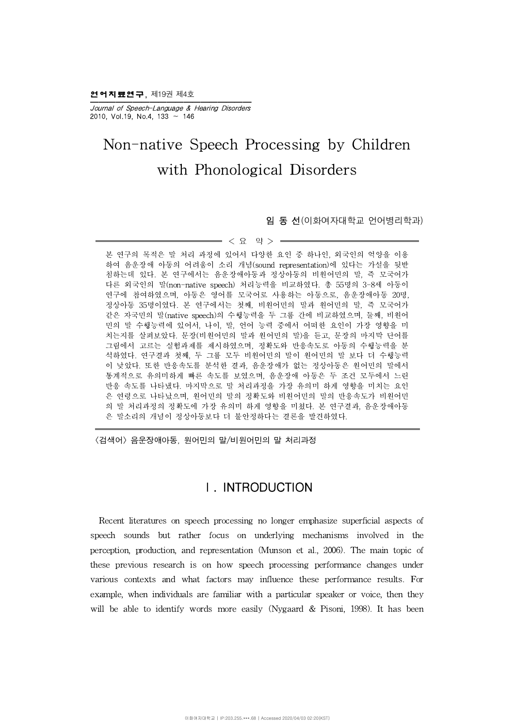2 어지료연구, 제19권 제4호

Journal of Speech-Language & Hearing Disorders 2010, Vol.19, No.4, 133  $\sim$  146

# Non-native Speech Processing by Children with Phonological Disorders

임 동 선(이화여자대학교 언어병리학과)

 $<$  요 약 > =

본 연구의 목적은 말 처리 과정에 있어서 다양한 요인 중 하나인, 외국인의 억양을 이용 하여 음운장애 아동의 어려움이 소리 개념(sound representation)에 있다는 가설을 뒷받 침하는데 있다. 본 연구에서는 음운장애아동과 정상아동의 비원어민의 말, 즉 모국어가 다른 외국인의 말(non-native speech) 처리능력을 비교하였다.총 55명의 3-8세 아동이 연구에 참여하였으며, 아동은 영어를 모국어로 사용하는 아동으로, 음운장애아동 20명, 정상아동 35명이였다.본 연구에서는 첫째, 비원어민의 말과 원어민의 말, 즉 모국어가 같은 자국민의 말(native speech)의 수행능력을 두 그룹 간에 비교하였으며, 둘째, 비원어 민의 말 수행능력에 있어서, 나이, 말, 언어 능력 중에서 어떠한 요인이 가장 영향을 미 치는지를 살펴보았다. 문장(비원어민의 말과 원어민의 말)을 듣고, 문장의 마지막 단어를 그림에서 고르는 실험과제를 제시하였으며, 정확도와 반응속도로 아동의 수행능력을 분 석하였다. 연구결과 첫째, 두 그룹 모두 비원어민의 말이 원어민의 말 보다 더 수행능력 이 낮았다. 또한 반응속도를 분석한 결과, 음운장애가 없는 정상아동은 원어민의 말에서 통계적으로 유의미하게 빠른 속도를 보였으며, 음운장애 아동은 두 조건 모두에서 느린 반응 속도를 나타냈다. 마지막으로 말 처리과정을 가장 유의미 하게 영향을 미치는 요인 은 연령으로 나타났으며, 원어민의 말의 정확도와 비원어민의 말의 반응속도가 비원어민 의 말 처리과정의 정확도에 가장 유의미 하게 영향을 미쳤다. 본 연구결과, 음운장애아동 은 말소리의 개념이 정상아동보다 더 불안정하다는 결론을 발견하였다.

<검색어> 음운장애아동, 원어민의 말/비원어민의 말 처리과정

# Ⅰ. INTRODUCTION

Recent literatures on speech processing no longer emphasize superficial aspects of speech sounds but rather focus on underlying mechanisms involved in the perception, production, and representation (Munson et al., 2006). The main topic of these previous research is on how speech processing performance changes under various contexts and what factors may influence these performance results. For example, when individuals are familiar with a particular speaker or voice, then they will be able to identify words more easily (Nygaard & Pisoni, 1998). It has been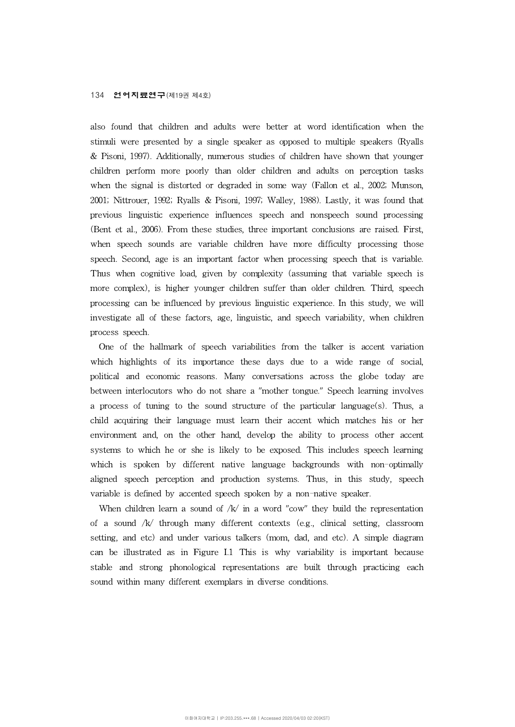#### 134 언어지료연구(제19권 제4호)

also found that children and adults were better at word identification when the stimuli were presented by a single speaker as opposed to multiple speakers (Ryalls & Pisoni, 1997). Additionally, numerous studies of children have shown that younger children perform more poorly than older children and adults on perception tasks when the signal is distorted or degraded in some way (Fallon et al., 2002; Munson, 2001; Nittrouer, 1992; Ryalls & Pisoni, 1997; Walley, 1988). Lastly, it was found that previous linguistic experience influences speech and nonspeech sound processing (Bent et al., 2006). From these studies, three important conclusions are raised. First, when speech sounds are variable children have more difficulty processing those speech. Second, age is an important factor when processing speech that is variable. Thus when cognitive load, given by complexity (assuming that variable speech is more complex), is higher younger children suffer than older children. Third, speech processing can be influenced by previous linguistic experience. In this study, we will investigate allof these factors, age, linguistic, and speech variability, when children process speech.

One of the hallmark of speech variabilities from the talker is accent variation which highlights of its importance these days due to a wide range of social, political and economic reasons. Many conversations across the globe today are between interlocutors who do not share a "mother tongue." Speech learning involves a process of tuning to the sound structure of the particular language(s). Thus, a child acquiring their language must learn their accent which matches his or her environment and, on the other hand, develop the ability to process other accent systems to which he or she is likely to be exposed. This includes speech learning which is spoken by different native language backgrounds with non-optimally aligned speech perception and production systems. Thus, in this study, speech variable is defined by accented speech spoken by a non-native speaker.

When children learn a sound of  $/k/m$  in a word "cow" they build the representation of a sound  $k/$  through many different contexts (e.g., clinical setting, classroom setting, and etc) and under various talkers (mom, dad, and etc). A simple diagram can be illustrated as in Figure I.1 This is why variability is important because stable and strong phonological representations are built through practicing each sound within many different exemplars in diverse conditions.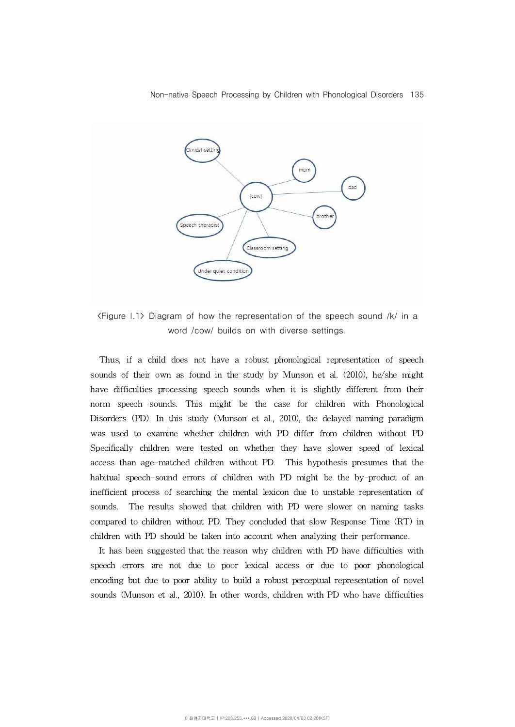

<Figure I.1> Diagram of how the representation of the speech sound /k/ in a word /cow/ builds on with diverse settings.

Thus, if a child does not have a robust phonological representation of speech sounds of their own as found in the study by Munson et al. (2010), he/she might have difficulties processing speech sounds when it is slightly different from their norm speech sounds. This might be the case for children with Phonological Disorders (PD). In this study (Munson et al., 2010), the delayed naming paradigm was used to examine whether children with PD differ from children without PD Specifically children were tested on whether they have slower speed of lexical access than age-matched children without PD. This hypothesis presumes that the habitual speech-sound errors of children with PD might be the by-product of an inefficient process of searching the mental lexicon due to unstable representation of sounds. The results showed that children with PD were slower on naming tasks compared to children without PD. They concluded that slow Response Time (RT) in children with PD should be taken into account when analyzing their performance.

It has been suggested that the reason why children with PD have difficulties with speech errors are not due to poor lexical access or due to poor phonological encoding but due to poor ability to build a robust perceptual representation of novel sounds (Munson et al., 2010). In other words, children with PD who have difficulties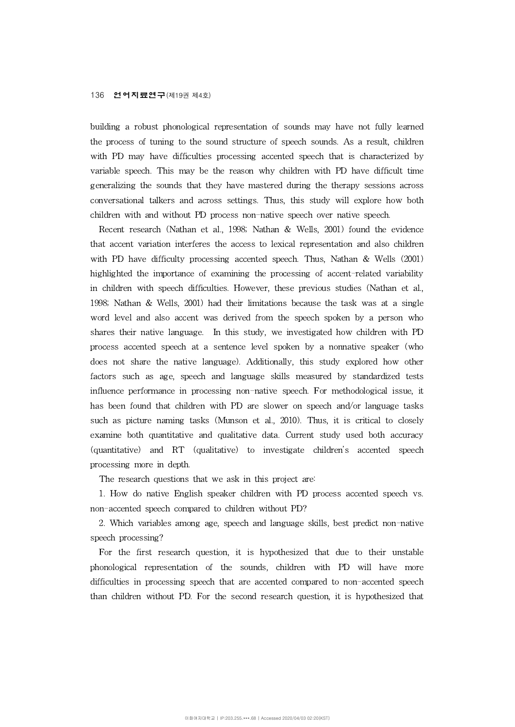building a robust phonological representation of sounds may have not fully learned the process of tuning to the sound structure of speech sounds. As a result, children with PD may have difficulties processing accented speech that is characterized by variable speech. This may be the reason why children with PD have difficult time generalizing the sounds that they have mastered during the therapy sessions across conversational talkers and across settings. Thus, this study willexplore how both children with and without PD process non-native speech over native speech.

Recent research (Nathan et al., 1998; Nathan & Wells, 2001) found the evidence that accent variation interferes the access to lexical representation and also children with PD have difficulty processing accented speech. Thus, Nathan & Wells (2001) highlighted the importance of examining the processing of accent-related variability in children with speech difficulties. However, these previous studies (Nathan et al., 1998; Nathan & Wells, 2001) had their limitations because the task was at a single word level and also accent was derived from the speech spoken by a person who shares their native language. In this study, we investigated how children with PD process accented speech at a sentence level spoken by a nonnative speaker (who does not share the native language). Additionally, this study explored how other factors such as age, speech and language skills measured by standardized tests influence performance in processing non-native speech. For methodological issue, it has been found that children with PD are slower on speech and/or language tasks such as picture naming tasks (Munson et al., 2010). Thus, it is critical to closely examine both quantitative and qualitative data. Current study used both accuracy (quantitative) and RT (qualitative) to investigate children's accented speech processing more in depth.

The research questions that we ask in this project are:

1. How do native English speaker children with PD process accented speech vs. non-accented speech compared to children without PD?

2. Which variables among age, speech and language skills, best predict non-native speech processing?

For the first research question, it is hypothesized that due to their unstable phonological representation of the sounds, children with PD will have more difficulties in processing speech that are accented compared to non-accented speech than children without PD. For the second research question, it is hypothesized that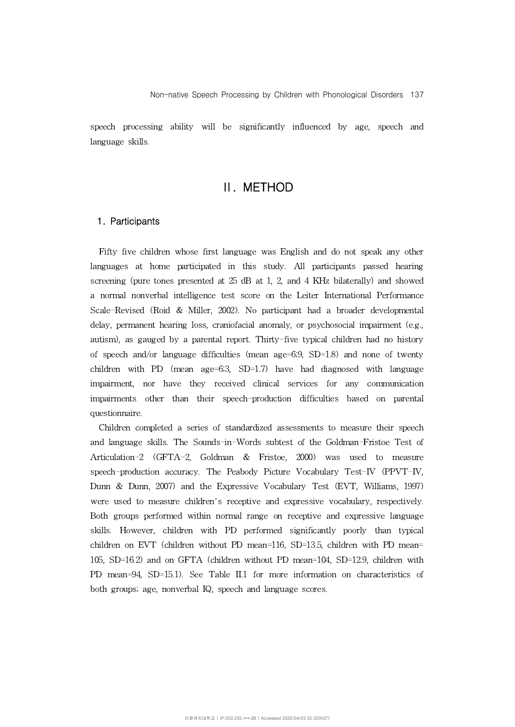speech processing ability will be significantly influenced by age, speech and language skills.

## Ⅱ. METHOD

## 1. Participants

Fifty five children whose first language was English and do not speak any other languages at home participated in this study. All participants passed hearing screening (pure tones presented at  $25$  dB at 1, 2, and 4 KHz bilaterally) and showed a normal nonverbal intelligence test score on the Leiter International Performance Scale-Revised (Roid & Miller, 2002). No participant had a broader developmental delay, permanent hearing loss, craniofacial anomaly, or psychosocial impairment (e.g., autism), as gauged by a parental report. Thirty-five typical children had no history of speech and/or language difficulties (mean age=6;9,  $SD=1.8$ ) and none of twenty children with PD (mean age= $6;3$ , SD=1.7) have had diagnosed with language impairment, nor have they received clinical services for any communication impairments other than their speech-production difficulties based on parental questionnaire.

Children completed a series of standardized assessments to measure their speech and language skills. The Sounds-in-Words subtest of the Goldman-Fristoe Test of Articulation-2 (GFTA-2, Goldman & Fristoe, 2000) was used to measure speech-production accuracy. The Peabody Picture Vocabulary Test-IV (PPVT-IV, Dunn & Dunn, 2007) and the Expressive Vocabulary Test (EVT, Williams, 1997) were used to measure children's receptive and expressive vocabulary, respectively. Both groups performed within normal range on receptive and expressive language skills. However, children with PD performed significantly poorly than typical children on EVT (children without PD mean=116, SD=13.5, children with PD mean= 105, SD=16.2) and on GFTA (children without PD mean=104, SD=12.9, children with PD mean=94, SD=15.1). See Table II.1 for more information on characteristics of both groups; age, nonverbal IQ, speech and language scores.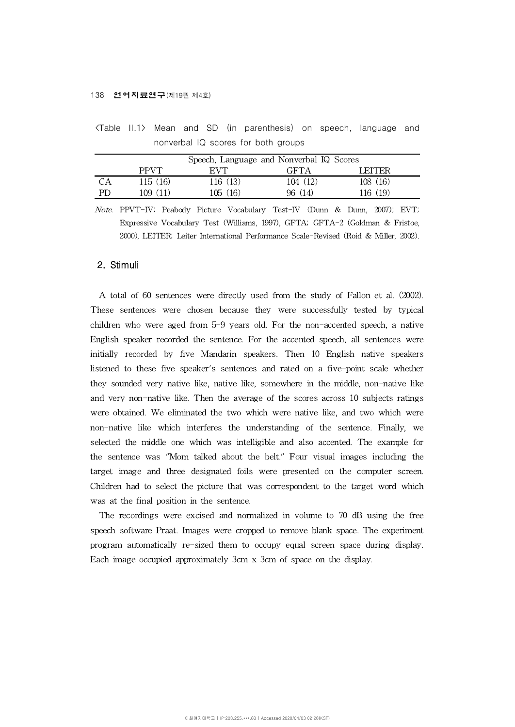#### 138 언어지료연구(제19권 제4호)

|    |             | Speech, Language and Nonverbal IQ Scores |          |          |
|----|-------------|------------------------------------------|----------|----------|
|    | <b>PPVT</b> | EVT.                                     | GFTA     | LEITER   |
| DА | 115(16)     | 116 (13)                                 | 104 (12) | 108 (16) |
| PD | 109 (11)    | 105(16)                                  | 96 (14)  | 116 (19) |

<Table II.1> Mean and SD (in parenthesis) on speech, language and nonverbal IQ scores for both groups

Note. PPVT-IV; Peabody Picture Vocabulary Test-IV (Dunn & Dunn, 2007); EVT; Expressive Vocabulary Test (Williams, 1997), GFTA; GFTA-2 (Goldman & Fristoe, 2000), LEITER; Leiter International Performance Scale-Revised (Roid & Miller, 2002).

## 2. Stimuli

A total of 60 sentences were directly used from the study of Fallon et al. (2002). These sentences were chosen because they were successfully tested by typical children who were aged from 5-9 years old. For the non-accented speech, a native English speaker recorded the sentence. For the accented speech, all sentences were initially recorded by five Mandarin speakers. Then 10 English native speakers listened to these five speaker's sentences and rated on a five-point scale whether they sounded very native like, native like, somewhere in the middle, non-native like and very non-native like. Then the average of the scores across 10 subjects ratings were obtained. We eliminated the two which were native like, and two which were non-native like which interferes the understanding of the sentence. Finally, we selected the middle one which was intelligible and also accented. The example for the sentence was "Mom talked about the belt." Four visual images including the target image and three designated foils were presented on the computer screen. Children had to select the picture that was correspondent to the target word which was at the final position in the sentence.

The recordings were excised and normalized in volume to 70 dB using the free speech software Praat. Images were cropped to remove blank space. The experiment program automatically re-sized them to occupy equal screen space during display. Each image occupied approximately 3cm x 3cm of space on the display.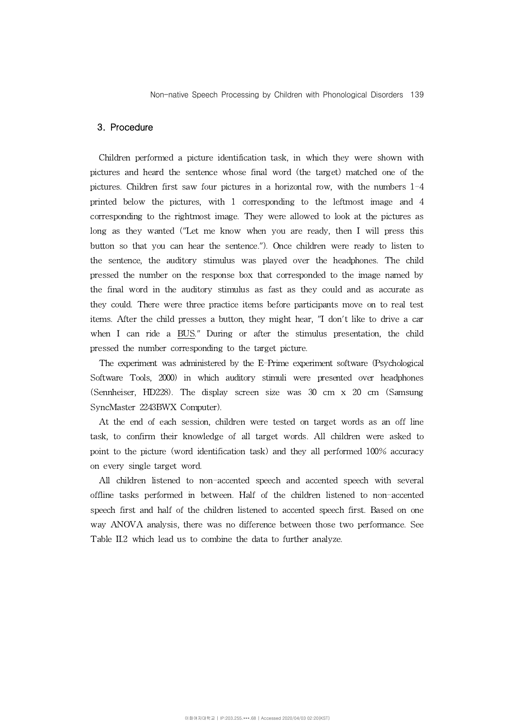### 3. Procedure

Children performed a picture identification task, in which they were shown with pictures and heard the sentence whose final word (the target) matched one of the pictures. Children first saw four pictures in a horizontal row, with the numbers 1-4 printed below the pictures, with 1 corresponding to the leftmost image and 4 corresponding to the rightmost image. They were allowed to look at the pictures as long as they wanted ("Let me know when you are ready, then I will press this button so that you can hear the sentence."). Once children were ready to listen to the sentence, the auditory stimulus was played over the headphones. The child pressed the number on the response box that corresponded to the image named by the final word in the auditory stimulus as fast as they could and as accurate as they could. There were three practice items before participants move on to real test items. After the child presses a button, they might hear, "I don't like to drive a car when I can ride a BUS." During or after the stimulus presentation, the child pressed the number corresponding to the target picture.

The experiment was administered by the E-Prime experiment software (Psychological Software Tools, 2000) in which auditory stimuli were presented over headphones (Sennheiser, HD228). The display screen size was 30 cm x 20 cm (Samsung SyncMaster 2243BWX Computer).

At the end of each session, children were tested on target words as an off line task, to confirm their knowledge of all target words. All children were asked to point to the picture (word identification task) and they all performed 100% accuracy on every single target word.

All children listened to non-accented speech and accented speech with several offline tasks performed in between. Half of the children listened to non-accented speech first and half of the children listened to accented speech first. Based on one way ANOVA analysis, there was no difference between those two performance. See Table II.2 which lead us to combine the data to further analyze.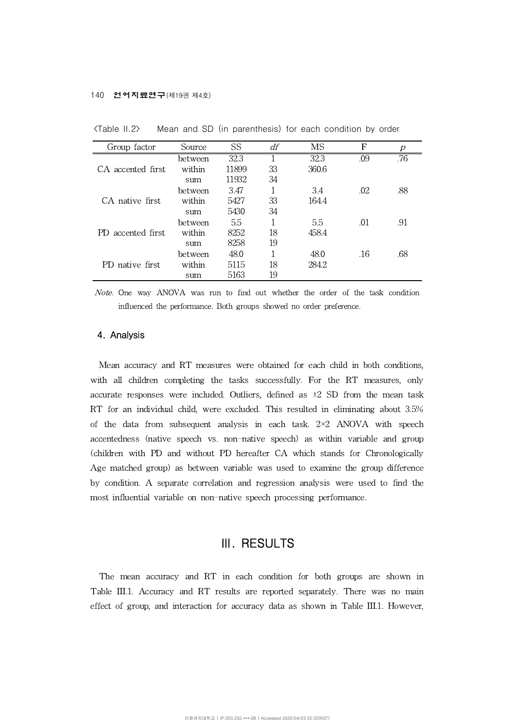| Group factor       | Source  | SS    | df | MS    | F   | Ŋ   |
|--------------------|---------|-------|----|-------|-----|-----|
|                    | between | 32.3  |    | 32.3  | .09 | .76 |
| CA accented first  | within  | 11899 | 33 | 360.6 |     |     |
|                    | sum     | 11932 | 34 |       |     |     |
|                    | between | 3.47  |    | 34    | .02 | .88 |
| CA native first    | within  | 5427  | 33 | 164.4 |     |     |
|                    | sum     | 5430  | 34 |       |     |     |
| PD accented first. | between | 5.5   |    | 5.5   | .01 | .91 |
|                    | within  | 8252  | 18 | 458.4 |     |     |
|                    | sum     | 8258  | 19 |       |     |     |
|                    | between | 48.0  |    | 48.0  | .16 | .68 |
| PD native first    | within  | 5115  | 18 | 284.2 |     |     |
|                    | sum     | 5163  | 19 |       |     |     |

<Table II.2> Mean and SD (in parenthesis) for each condition by order

Note. One way ANOVA was run to find out whether the order of the task condition influenced the performance. Both groups showed no order preference.

#### 4. Analysis

Mean accuracy and RT measures were obtained for each child in both conditions, with all children completing the tasks successfully. For the RT measures, only accurate responses were included. Outliers, defined as  $\pm 2$  SD from the mean task RT for an individual child, were excluded. This resulted in eliminating about 3.5% of the data from subsequent analysis in each task. 2×2 ANOVA with speech accentedness (native speech vs. non-native speech) as within variable and group (children with PD and without PD hereafter CA which stands for Chronologically Age matched group) as between variable was used to examine the group difference by condition. A separate correlation and regression analysis were used to find the most influential variable on non-native speech processing performance.

## Ⅲ. RESULTS

The mean accuracy and RT in each condition for both groups are shown in Table III.1. Accuracy and RT results are reported separately. There was no main effect of group, and interaction for accuracy data as shown in Table III.1. However,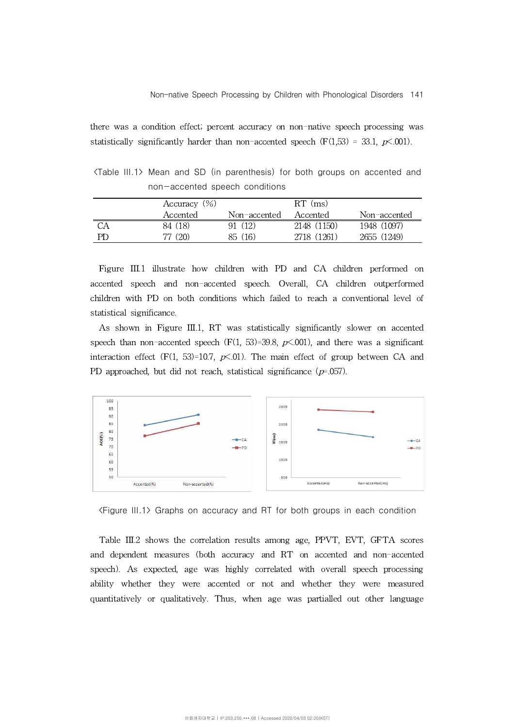there was a condition effect; percent accuracy on non-native speech processing was statistically significantly harder than non-accented speech ( $F(1,53) = 33.1$ ,  $p\lt 0.001$ ).

<Table III.1> Mean and SD (in parenthesis) for both groups on accented and non-accented speech conditions

|    | Accuracy $(\%)$ |              |             | $RT$ (ms)    |  |
|----|-----------------|--------------|-------------|--------------|--|
|    | Accented        | Non-accented | Accented    | Non-accented |  |
| СA | 84 (18)         | (12)         | 2148 (1150) | 1948 (1097)  |  |
| РD | 77 (20)         | 85 (16)      | 2718 (1261) | 2655 (1249)  |  |

Figure III.1 illustrate how children with PD and CA children performed on accented speech and non-accented speech. Overall, CA children outperformed children with PD on both conditions which failed to reach a conventional level of statistical significance.

As shown in Figure III.1, RT was statistically significantly slower on accented speech than non-accented speech  $(F(1, 53)=39.8, p\leq 0.001)$ , and there was a significant interaction effect (F(1, 53)=10.7,  $p\leq 0$ 1). The main effect of group between CA and PD approached, but did not reach, statistical significance  $(p=0.057)$ .



<Figure III.1> Graphs on accuracy and RT for both groups in each condition

Table III.2 shows the correlation results among age, PPVT, EVT, GFTA scores and dependent measures (both accuracy and RT on accented and non-accented speech). As expected, age was highly correlated with overall speech processing ability whether they were accented or not and whether they were measured quantitatively or qualitatively. Thus, when age was partialled out other language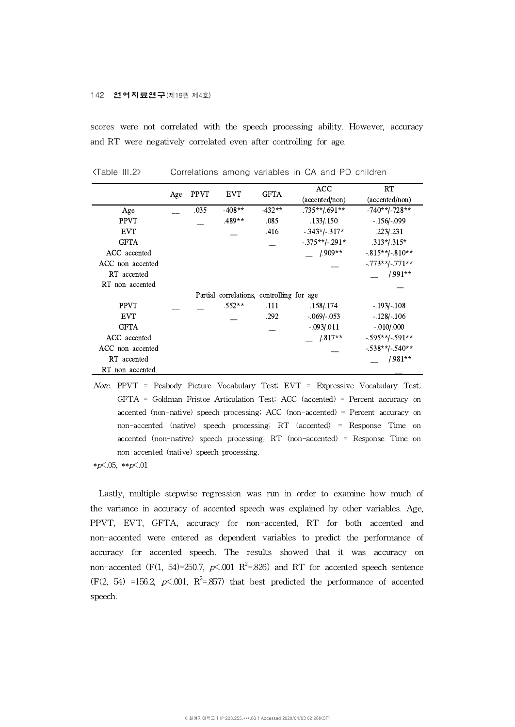#### 142 언어지료연구(제19권 제4호)

scores were not correlated with the speech processing ability. However, accuracy and RT were negatively correlated even after controlling for age.

|                  |     |             |            |                                           |                  | <b>ACC</b>        | <b>RT</b> |
|------------------|-----|-------------|------------|-------------------------------------------|------------------|-------------------|-----------|
|                  | Age | <b>PPVT</b> | <b>EVT</b> | <b>GFTA</b>                               | (accented/non)   | (accented/non)    |           |
| Age              |     | .035        | $-408**$   | $-432**$                                  | .735**/.691**    | $-740** - 728**$  |           |
| <b>PPVT</b>      |     |             | $.489**$   | .085                                      | .133/.150        | $-.156/-099$      |           |
| <b>EVT</b>       |     |             |            | .416                                      | $-.343*/-.317*$  | .223/.231         |           |
| <b>GFTA</b>      |     |             |            |                                           | $-.375**/-.291*$ | $.313*/.315*$     |           |
| ACC accented     |     |             |            |                                           | $1.909**$        | $-815**/-810**$   |           |
| ACC non accented |     |             |            |                                           |                  | $-.773**/-.771**$ |           |
| RT accented      |     |             |            |                                           |                  | $1.991**$         |           |
| RT non accented  |     |             |            |                                           |                  |                   |           |
|                  |     |             |            | Partial correlations, controlling for age |                  |                   |           |
| <b>PPVT</b>      |     |             | $.552**$   | .111                                      | .158/.174        | $-.193/-.108$     |           |
| <b>EVT</b>       |     |             |            | .292                                      | $-.069/-053$     | $-.128/-.106$     |           |
| <b>GFTA</b>      |     |             |            |                                           | $-.093/011$      | $-.010/.000$      |           |
| ACC accented     |     |             |            |                                           | $-$ /.817**      | $-595**-591**$    |           |
| ACC non accented |     |             |            |                                           |                  | $-538**$ $-540**$ |           |
| RT accented      |     |             |            |                                           |                  | $1.981**$         |           |
| RT non accented  |     |             |            |                                           |                  |                   |           |

<Table III.2> Correlations among variables in CA and PD children

Note. PPVT = Peabody Picture Vocabulary Test; EVT = Expressive Vocabulary Test; GFTA = Goldman Fristoe Articulation Test; ACC (accented) = Percent accuracy on accented (non-native) speech processing; ACC (non-accented) = Percent accuracy on non-accented (native) speech processing; RT (accented) = Response Time on accented (non-native) speech processing; RT (non-accented) = Response Time on non-accented (native) speech processing.

 $*D < .05, **p < .01$ 

Lastly, multiple stepwise regression was run in order to examine how much of the variance in accuracy of accented speech was explained by other variables. Age, PPVT, EVT, GFTA, accuracy for non-accented, RT for both accented and non-accented were entered as dependent variables to predict the performance of accuracy for accented speech. The results showed that it was accuracy on non–accented (F(1, 54)=250.7,  $p<$  001  $\mathrm{R}^2$ =.826) and RT for accented speech sentence  $(F(2, 54) = 156.2, p\le 0.001, R^2 = 0.857)$  that best predicted the performance of accented speech.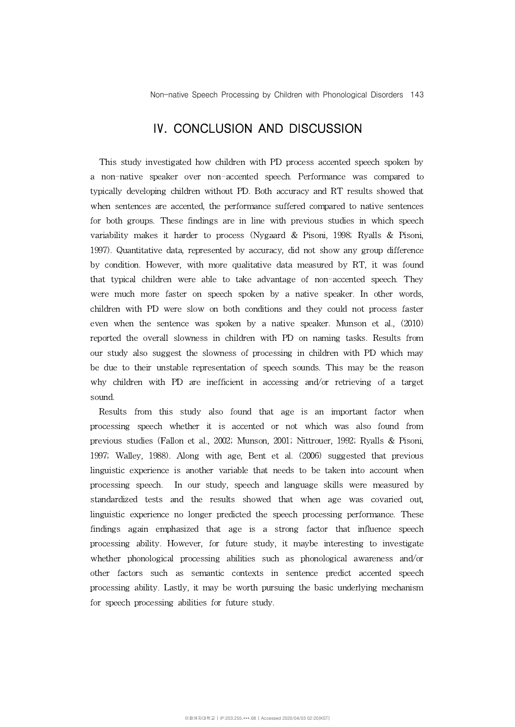# Ⅳ. CONCLUSION AND DISCUSSION

This study investigated how children with PD process accented speech spoken by a non-native speaker over non-accented speech. Performance was compared to typically developing children without PD. Both accuracy and RT results showed that when sentences are accented, the performance suffered compared to native sentences for both groups. These findings are in line with previous studies in which speech variability makes it harder to process (Nygaard & Pisoni, 1998; Ryalls & Pisoni, 1997). Quantitative data, represented by accuracy, did not show any group difference by condition. However, with more qualitative data measured by RT, it was found that typical children were able to take advantage of non-accented speech. They were much more faster on speech spoken by a native speaker. In other words, children with PD were slow on both conditions and they could not process faster even when the sentence was spoken by a native speaker. Munson et al., (2010) reported the overall slowness in children with PD on naming tasks. Results from our study also suggest the slowness of processing in children with PD which may be due to their unstable representation of speech sounds. This may be the reason why children with PD are inefficient in accessing and/or retrieving of a target sound.

Results from this study also found that age is an important factor when processing speech whether it is accented or not which was also found from previous studies (Fallon et al., 2002; Munson, 2001; Nittrouer, 1992; Ryalls & Pisoni, 1997; Walley, 1988). Along with age,Bent et al. (2006) suggested that previous linguistic experience is another variable that needs to be taken into account when processing speech. In our study, speech and language skills were measured by standardized tests and the results showed that when age was covaried out, linguistic experience no longer predicted the speech processing performance. These findings again emphasized that age is a strong factor that influence speech processing ability. However, for future study, it maybe interesting to investigate whether phonological processing abilities such as phonological awareness and/or other factors such as semantic contexts in sentence predict accented speech processing ability. Lastly, it may be worth pursuing the basic underlying mechanism for speech processing abilities for future study.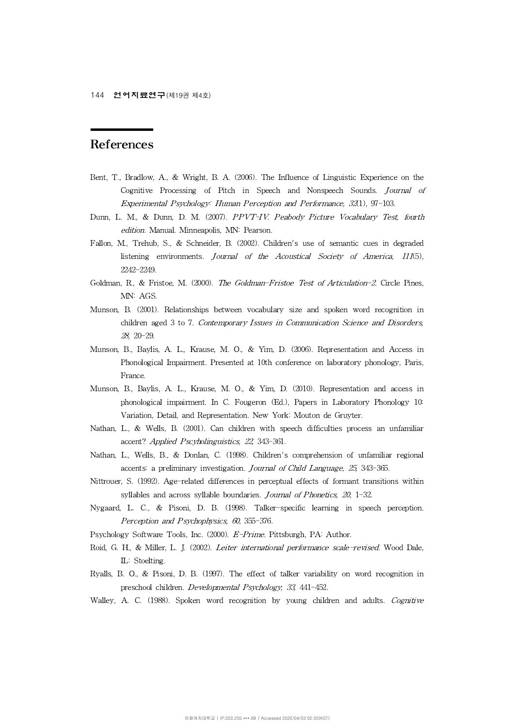## References

- Bent, T., Bradlow, A., & Wright, B. A. (2006). The Influence of Linguistic Experience on the Cognitive Processing of Pitch in Speech and Nonspeech Sounds. Journal of Experimental Psychology: Human Perception and Performance, 32(1), 97-103.
- edition. Manual. Minneapolis, MN: Pearson.
- Dunn, L. M., & Dunn, D. M. (2007). *PPVT-IV. Peabody Picture Vocabulary Test, fourth edition.* Manual. Minneapolis, MN: Pearson.<br>Fallon, M., Trehub, S., & Schneider, B. (2002). Children's use of semantic cues in degraded l Fallon, M., Trehub, S., & Schneider, B. (2002). Children's use of semantic cues in degraded 2242-2249.
- Goldman, R., & Fristoe, M. (2000). The Goldman-Fristoe Test of Articulation-2. Circle Pines, MN: AGS.
- Munson, B. (2001). Relationships between vocabulary size and spoken word recognition in children aged 3 to 7. Contemporary Issues in Communication Science and Disorders, 28, 20-29.
- Munson, B., Baylis, A. L., Krause, M. O., & Yim, D.(2006). Representation and Access in Phonological Impairment. Presented at 10th conference on laboratory phonology, Paris, France.
- Munson, B., Baylis, A. L., Krause, M. O., & Yim, D.(2010). Representation and access in phonological impairment. In C. Fougeron (Ed.), Papers in Laboratory Phonology 10: Variation, Detail, and Representation. New York: Mouton de Gruyter.
- Nathan, L., & Wells, B. (2001). Can children with speech difficulties process an unfamiliar<br>accent? *Applied Pscyholinguistics*, 22, 343-361.<br>Nathan, L., Wells, B., & Donlan, C. (1998). Children's comprehension of unfamili accent? Applied Pscyholinguistics, 22, 343-361.
- Nathan, L., Wells, B., & Donlan, C. (1998). Children's comprehension of unfamiliar regional
- Nittrouer, S. (1992). Age-related differences in perceptual effects of formant transitions within accents: a preliminary investigation. *Journal of Child Language, 25*, 343-365.<br>
5, S. (1992). Age-related differences in perceptual effects of formant transitionsyllables and across syllable boundaries. *Journal of Phonet*
- Nygaard, L. C., & Pisoni, D. B. (1998). Talker-specific learning in speech perception. Perception and Psychophysics, 60, 355-376.
- Psychology Software Tools, Inc. (2000). E-Prime. Pittsburgh, PA: Author.
- Roid, G. H., & Miller, L. J. (2002). Leiter international performance scale-revised. Wood Dale, IL: Stoelting.
- Ryalls, B. O., & Pisoni, D. B. (1997). The effect of talker variability on word recognition in preschool children. Developmental Psychology, 33, 441-452.
- Walley, A. C. (1988). Spoken word recognition by young children and adults. Cognitive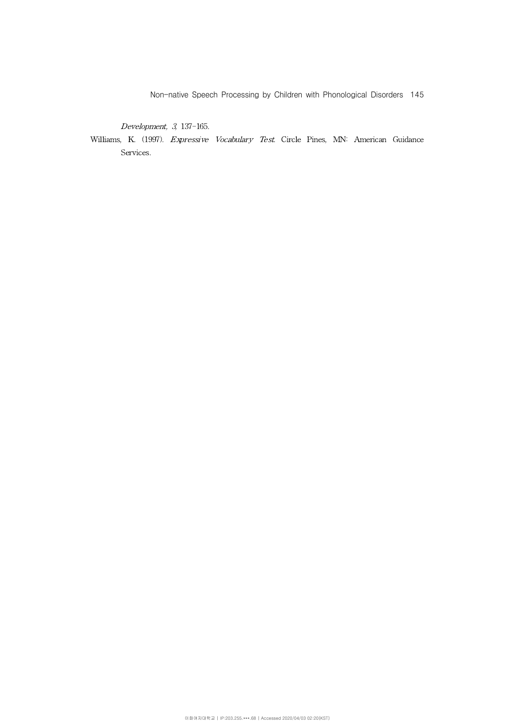Non-native Speech Processing by Children with Phonological Disorders 145

Development, 3, 137-165.

Williams, K. (1997). Expressive Vocabulary Test. Circle Pines, MN: American Guidance Services.